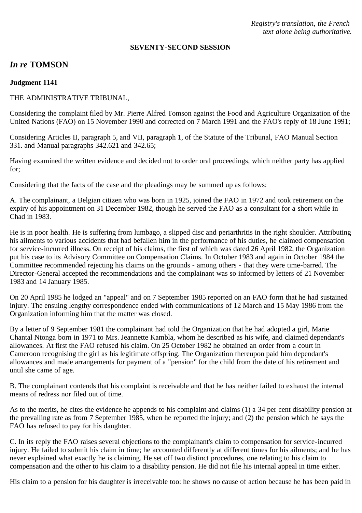*Registry's translation, the French text alone being authoritative.*

#### **SEVENTY-SECOND SESSION**

# *In re* **TOMSON**

#### **Judgment 1141**

### THE ADMINISTRATIVE TRIBUNAL,

Considering the complaint filed by Mr. Pierre Alfred Tomson against the Food and Agriculture Organization of the United Nations (FAO) on 15 November 1990 and corrected on 7 March 1991 and the FAO's reply of 18 June 1991;

Considering Articles II, paragraph 5, and VII, paragraph 1, of the Statute of the Tribunal, FAO Manual Section 331. and Manual paragraphs 342.621 and 342.65;

Having examined the written evidence and decided not to order oral proceedings, which neither party has applied for;

Considering that the facts of the case and the pleadings may be summed up as follows:

A. The complainant, a Belgian citizen who was born in 1925, joined the FAO in 1972 and took retirement on the expiry of his appointment on 31 December 1982, though he served the FAO as a consultant for a short while in Chad in 1983.

He is in poor health. He is suffering from lumbago, a slipped disc and periarthritis in the right shoulder. Attributing his ailments to various accidents that had befallen him in the performance of his duties, he claimed compensation for service-incurred illness. On receipt of his claims, the first of which was dated 26 April 1982, the Organization put his case to its Advisory Committee on Compensation Claims. In October 1983 and again in October 1984 the Committee recommended rejecting his claims on the grounds - among others - that they were time-barred. The Director-General accepted the recommendations and the complainant was so informed by letters of 21 November 1983 and 14 January 1985.

On 20 April 1985 he lodged an "appeal" and on 7 September 1985 reported on an FAO form that he had sustained injury. The ensuing lengthy correspondence ended with communications of 12 March and 15 May 1986 from the Organization informing him that the matter was closed.

By a letter of 9 September 1981 the complainant had told the Organization that he had adopted a girl, Marie Chantal Ntonga born in 1971 to Mrs. Jeannette Kambla, whom he described as his wife, and claimed dependant's allowances. At first the FAO refused his claim. On 25 October 1982 he obtained an order from a court in Cameroon recognising the girl as his legitimate offspring. The Organization thereupon paid him dependant's allowances and made arrangements for payment of a "pension" for the child from the date of his retirement and until she came of age.

B. The complainant contends that his complaint is receivable and that he has neither failed to exhaust the internal means of redress nor filed out of time.

As to the merits, he cites the evidence he appends to his complaint and claims (1) a 34 per cent disability pension at the prevailing rate as from 7 September 1985, when he reported the injury; and (2) the pension which he says the FAO has refused to pay for his daughter.

C. In its reply the FAO raises several objections to the complainant's claim to compensation for service-incurred injury. He failed to submit his claim in time; he accounted differently at different times for his ailments; and he has never explained what exactly he is claiming. He set off two distinct procedures, one relating to his claim to compensation and the other to his claim to a disability pension. He did not file his internal appeal in time either.

His claim to a pension for his daughter is irreceivable too: he shows no cause of action because he has been paid in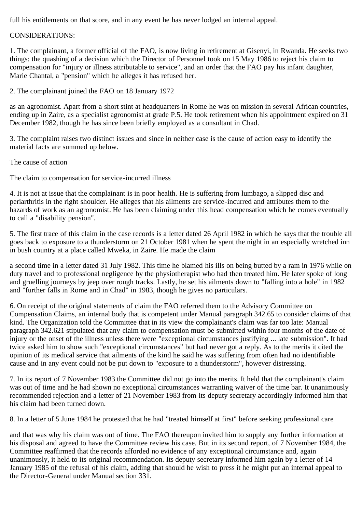full his entitlements on that score, and in any event he has never lodged an internal appeal.

## CONSIDERATIONS:

1. The complainant, a former official of the FAO, is now living in retirement at Gisenyi, in Rwanda. He seeks two things: the quashing of a decision which the Director of Personnel took on 15 May 1986 to reject his claim to compensation for "injury or illness attributable to service", and an order that the FAO pay his infant daughter, Marie Chantal, a "pension" which he alleges it has refused her.

2. The complainant joined the FAO on 18 January 1972

as an agronomist. Apart from a short stint at headquarters in Rome he was on mission in several African countries, ending up in Zaire, as a specialist agronomist at grade P.5. He took retirement when his appointment expired on 31 December 1982, though he has since been briefly employed as a consultant in Chad.

3. The complaint raises two distinct issues and since in neither case is the cause of action easy to identify the material facts are summed up below.

The cause of action

The claim to compensation for service-incurred illness

4. It is not at issue that the complainant is in poor health. He is suffering from lumbago, a slipped disc and periarthritis in the right shoulder. He alleges that his ailments are service-incurred and attributes them to the hazards of work as an agronomist. He has been claiming under this head compensation which he comes eventually to call a "disability pension".

5. The first trace of this claim in the case records is a letter dated 26 April 1982 in which he says that the trouble all goes back to exposure to a thunderstorm on 21 October 1981 when he spent the night in an especially wretched inn in bush country at a place called Mweka, in Zaire. He made the claim

a second time in a letter dated 31 July 1982. This time he blamed his ills on being butted by a ram in 1976 while on duty travel and to professional negligence by the physiotherapist who had then treated him. He later spoke of long and gruelling journeys by jeep over rough tracks. Lastly, he set his ailments down to "falling into a hole" in 1982 and "further falls in Rome and in Chad" in 1983, though he gives no particulars.

6. On receipt of the original statements of claim the FAO referred them to the Advisory Committee on Compensation Claims, an internal body that is competent under Manual paragraph 342.65 to consider claims of that kind. The Organization told the Committee that in its view the complainant's claim was far too late: Manual paragraph 342.621 stipulated that any claim to compensation must be submitted within four months of the date of injury or the onset of the illness unless there were "exceptional circumstances justifying ... late submission". It had twice asked him to show such "exceptional circumstances" but had never got a reply. As to the merits it cited the opinion of its medical service that ailments of the kind he said he was suffering from often had no identifiable cause and in any event could not be put down to "exposure to a thunderstorm", however distressing.

7. In its report of 7 November 1983 the Committee did not go into the merits. It held that the complainant's claim was out of time and he had shown no exceptional circumstances warranting waiver of the time bar. It unanimously recommended rejection and a letter of 21 November 1983 from its deputy secretary accordingly informed him that his claim had been turned down.

8. In a letter of 5 June 1984 he protested that he had "treated himself at first" before seeking professional care

and that was why his claim was out of time. The FAO thereupon invited him to supply any further information at his disposal and agreed to have the Committee review his case. But in its second report, of 7 November 1984, the Committee reaffirmed that the records afforded no evidence of any exceptional circumstance and, again unanimously, it held to its original recommendation. Its deputy secretary informed him again by a letter of 14 January 1985 of the refusal of his claim, adding that should he wish to press it he might put an internal appeal to the Director-General under Manual section 331.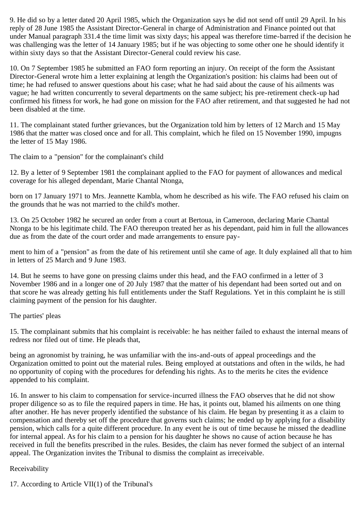9. He did so by a letter dated 20 April 1985, which the Organization says he did not send off until 29 April. In his reply of 28 June 1985 the Assistant Director-General in charge of Administration and Finance pointed out that under Manual paragraph 331.4 the time limit was sixty days; his appeal was therefore time-barred if the decision he was challenging was the letter of 14 January 1985; but if he was objecting to some other one he should identify it within sixty days so that the Assistant Director-General could review his case.

10. On 7 September 1985 he submitted an FAO form reporting an injury. On receipt of the form the Assistant Director-General wrote him a letter explaining at length the Organization's position: his claims had been out of time; he had refused to answer questions about his case; what he had said about the cause of his ailments was vague; he had written concurrently to several departments on the same subject; his pre-retirement check-up had confirmed his fitness for work, he had gone on mission for the FAO after retirement, and that suggested he had not been disabled at the time.

11. The complainant stated further grievances, but the Organization told him by letters of 12 March and 15 May 1986 that the matter was closed once and for all. This complaint, which he filed on 15 November 1990, impugns the letter of 15 May 1986.

The claim to a "pension" for the complainant's child

12. By a letter of 9 September 1981 the complainant applied to the FAO for payment of allowances and medical coverage for his alleged dependant, Marie Chantal Ntonga,

born on 17 January 1971 to Mrs. Jeannette Kambla, whom he described as his wife. The FAO refused his claim on the grounds that he was not married to the child's mother.

13. On 25 October 1982 he secured an order from a court at Bertoua, in Cameroon, declaring Marie Chantal Ntonga to be his legitimate child. The FAO thereupon treated her as his dependant, paid him in full the allowances due as from the date of the court order and made arrangements to ensure pay-

ment to him of a "pension" as from the date of his retirement until she came of age. It duly explained all that to him in letters of 25 March and 9 June 1983.

14. But he seems to have gone on pressing claims under this head, and the FAO confirmed in a letter of 3 November 1986 and in a longer one of 20 July 1987 that the matter of his dependant had been sorted out and on that score he was already getting his full entitlements under the Staff Regulations. Yet in this complaint he is still claiming payment of the pension for his daughter.

The parties' pleas

15. The complainant submits that his complaint is receivable: he has neither failed to exhaust the internal means of redress nor filed out of time. He pleads that,

being an agronomist by training, he was unfamiliar with the ins-and-outs of appeal proceedings and the Organization omitted to point out the material rules. Being employed at outstations and often in the wilds, he had no opportunity of coping with the procedures for defending his rights. As to the merits he cites the evidence appended to his complaint.

16. In answer to his claim to compensation for service-incurred illness the FAO observes that he did not show proper diligence so as to file the required papers in time. He has, it points out, blamed his ailments on one thing after another. He has never properly identified the substance of his claim. He began by presenting it as a claim to compensation and thereby set off the procedure that governs such claims; he ended up by applying for a disability pension, which calls for a quite different procedure. In any event he is out of time because he missed the deadline for internal appeal. As for his claim to a pension for his daughter he shows no cause of action because he has received in full the benefits prescribed in the rules. Besides, the claim has never formed the subject of an internal appeal. The Organization invites the Tribunal to dismiss the complaint as irreceivable.

### Receivability

17. According to Article VII(1) of the Tribunal's